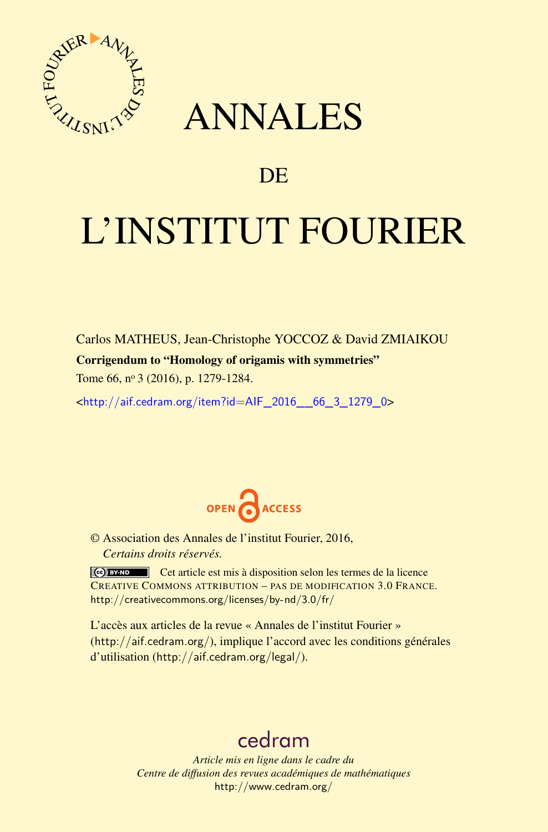

## ANNALES

### **DE**

# L'INSTITUT FOURIER

Carlos MATHEUS, Jean-Christophe YOCCOZ & David ZMIAIKOU

### Corrigendum to "Homology of origamis with symmetries"

Tome 66, nº 3 (2016), p. 1279-1284.

 $\kappa$ http://aif.cedram.org/item?id=AIF 2016 66 3 1279 0>



© Association des Annales de l'institut Fourier, 2016, *Certains droits réservés.*

Cet article est mis à disposition selon les termes de la licence CREATIVE COMMONS ATTRIBUTION – PAS DE MODIFICATION 3.0 FRANCE. <http://creativecommons.org/licenses/by-nd/3.0/fr/>

L'accès aux articles de la revue « Annales de l'institut Fourier » (<http://aif.cedram.org/>), implique l'accord avec les conditions générales d'utilisation (<http://aif.cedram.org/legal/>).

### [cedram](http://www.cedram.org/)

*Article mis en ligne dans le cadre du Centre de diffusion des revues académiques de mathématiques* <http://www.cedram.org/>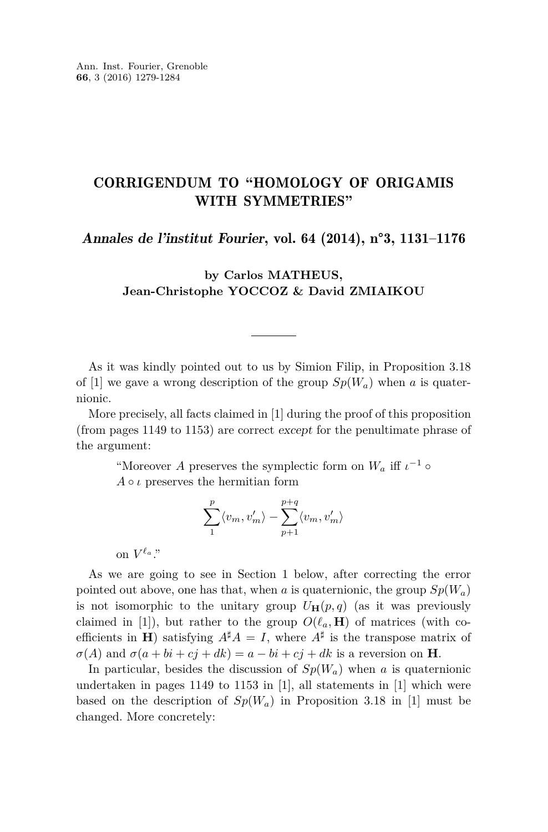### CORRIGENDUM TO "HOMOLOGY OF ORIGAMIS WITH SYMMETRIES"

Annales de l'institut Fourier, vol. 64 (2014), n°3, 1131–1176

#### **by Carlos MATHEUS, Jean-Christophe YOCCOZ & David ZMIAIKOU**

As it was kindly pointed out to us by Simion Filip, in Proposition 3.18 of [\[1\]](#page-6-0) we gave a wrong description of the group  $Sp(W_a)$  when *a* is quaternionic.

More precisely, all facts claimed in [\[1\]](#page-6-0) during the proof of this proposition (from pages 1149 to 1153) are correct except for the penultimate phrase of the argument:

"Moreover *A* preserves the symplectic form on  $W_a$  iff  $\iota^{-1}$   $\circ$  $A \circ \iota$  preserves the hermitian form

$$
\sum_1^p\langle v_m,v_m'\rangle-\sum_{p+1}^{p+q}\langle v_m,v_m'\rangle
$$

on  $V^{\ell_a}$ ."

As we are going to see in Section [1](#page-2-0) below, after correcting the error pointed out above, one has that, when *a* is quaternionic, the group  $Sp(W_a)$ is not isomorphic to the unitary group  $U_{\mathbf{H}}(p,q)$  (as it was previously claimed in [\[1\]](#page-6-0)), but rather to the group  $O(\ell_a, \mathbf{H})$  of matrices (with coefficients in **H**) satisfying  $A^{\sharp}A = I$ , where  $A^{\sharp}$  is the transpose matrix of  $\sigma(A)$  and  $\sigma(a + bi + cj + dk) = a - bi + cj + dk$  is a reversion on **H**.

In particular, besides the discussion of  $Sp(W_a)$  when *a* is quaternionic undertaken in pages 1149 to 1153 in  $[1]$ , all statements in  $[1]$  which were based on the description of  $Sp(W_a)$  in Proposition 3.18 in [\[1\]](#page-6-0) must be changed. More concretely: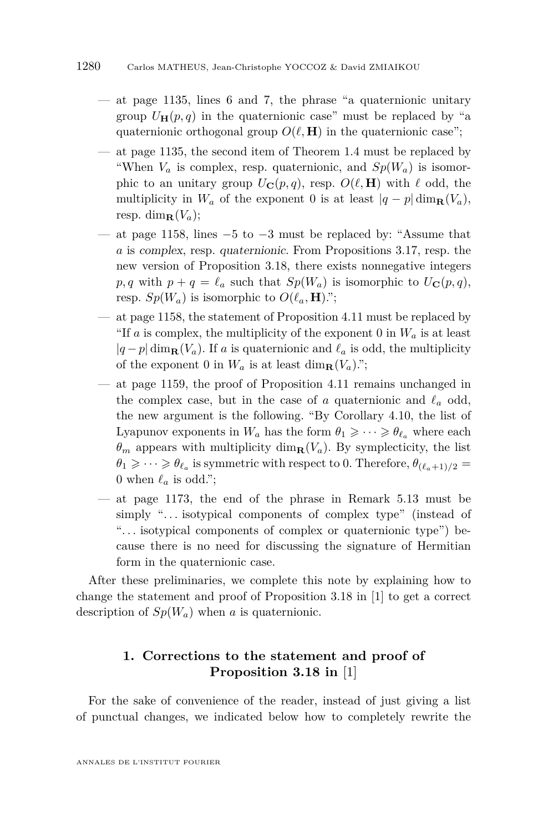- $-$  at page 1135, lines 6 and 7, the phrase "a quaternionic unitary group  $U_{\mathbf{H}}(p,q)$  in the quaternionic case" must be replaced by "a quaternionic orthogonal group  $O(\ell, \mathbf{H})$  in the quaternionic case";
- at page 1135, the second item of Theorem 1.4 must be replaced by "When  $V_a$  is complex, resp. quaternionic, and  $Sp(W_a)$  is isomorphic to an unitary group  $U_{\mathbf{C}}(p,q)$ , resp.  $O(\ell, \mathbf{H})$  with  $\ell$  odd, the multiplicity in  $W_a$  of the exponent 0 is at least  $|q - p| \dim_R(V_a)$ , resp. dim $_{\mathbf{R}}(V_a)$ ;
- at page 1158, lines  $-5$  to  $-3$  must be replaced by: "Assume that *a* is complex, resp. quaternionic. From Propositions 3.17, resp. the new version of Proposition 3.18, there exists nonnegative integers  $p, q$  with  $p + q = \ell_a$  such that  $Sp(W_a)$  is isomorphic to  $U_{\mathbf{C}}(p, q)$ , resp.  $Sp(W_a)$  is isomorphic to  $O(\ell_a, \mathbf{H})$ .";
- at page 1158, the statement of Proposition 4.11 must be replaced by "If *a* is complex, the multiplicity of the exponent 0 in  $W_a$  is at least  $|q-p|$  dim<sub>**R**</sub>( $V_a$ ). If *a* is quaternionic and  $\ell_a$  is odd, the multiplicity of the exponent 0 in  $W_a$  is at least dim<sub>**R**</sub>( $V_a$ ).";
- at page 1159, the proof of Proposition 4.11 remains unchanged in the complex case, but in the case of *a* quaternionic and  $\ell_a$  odd, the new argument is the following. "By Corollary 4.10, the list of Lyapunov exponents in  $W_a$  has the form  $\theta_1 \geqslant \cdots \geqslant \theta_{\ell_a}$  where each  $\theta_m$  appears with multiplicity dim<sub>**R**</sub>(*V<sub>a</sub>*). By symplecticity, the list  $\theta_1 \geqslant \cdots \geqslant \theta_{\ell_a}$  is symmetric with respect to 0. Therefore,  $\theta_{(\ell_a+1)/2}$  = 0 when  $\ell_a$  is odd.";
- at page 1173, the end of the phrase in Remark 5.13 must be simply "... isotypical components of complex type" (instead of "... isotypical components of complex or quaternionic type") because there is no need for discussing the signature of Hermitian form in the quaternionic case.

After these preliminaries, we complete this note by explaining how to change the statement and proof of Proposition 3.18 in [\[1\]](#page-6-0) to get a correct description of  $Sp(W_a)$  when *a* is quaternionic.

### <span id="page-2-0"></span>**1. Corrections to the statement and proof of Proposition 3.18 in** [\[1\]](#page-6-0)

For the sake of convenience of the reader, instead of just giving a list of punctual changes, we indicated below how to completely rewrite the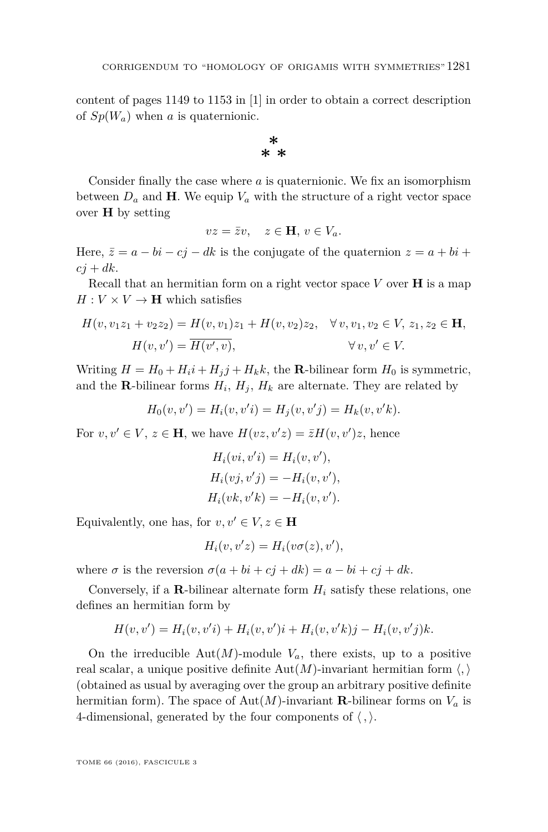content of pages 1149 to 1153 in [\[1\]](#page-6-0) in order to obtain a correct description of  $Sp(W_a)$  when *a* is quaternionic.

> **\* \* \***

Consider finally the case where *a* is quaternionic. We fix an isomorphism between  $D_a$  and **H**. We equip  $V_a$  with the structure of a right vector space over **H** by setting

$$
vz = \bar{z}v, \quad z \in \mathbf{H}, \, v \in V_a.
$$

Here,  $\bar{z} = a - bi - cj - dk$  is the conjugate of the quaternion  $z = a + bi +$  $ci + dk$ .

Recall that an hermitian form on a right vector space  $V$  over  $H$  is a map  $H: V \times V \rightarrow H$  which satisfies

$$
H(v, v_1 z_1 + v_2 z_2) = H(v, v_1) z_1 + H(v, v_2) z_2, \quad \forall v, v_1, v_2 \in V, z_1, z_2 \in \mathbf{H},
$$
  

$$
H(v, v') = \overline{H(v', v)}, \qquad \forall v, v' \in V.
$$

Writing  $H = H_0 + H_i i + H_j j + H_k k$ , the **R**-bilinear form  $H_0$  is symmetric, and the **R**-bilinear forms  $H_i$ ,  $H_j$ ,  $H_k$  are alternate. They are related by

$$
H_0(v, v') = H_i(v, v'i) = H_j(v, v'j) = H_k(v, v'k).
$$

For  $v, v' \in V$ ,  $z \in \mathbf{H}$ , we have  $H(vz, v'z) = \overline{z}H(v, v')z$ , hence

$$
H_i(vi, v'i) = H_i(v, v'),
$$
  
\n
$$
H_i(vj, v'j) = -H_i(v, v'),
$$
  
\n
$$
H_i(vk, v'k) = -H_i(v, v').
$$

Equivalently, one has, for  $v, v' \in V, z \in H$ 

$$
H_i(v, v'z) = H_i(v\sigma(z), v'),
$$

where  $\sigma$  is the reversion  $\sigma(a + bi + cj + dk) = a - bi + cj + dk$ .

Conversely, if a **R**-bilinear alternate form  $H_i$  satisfy these relations, one defines an hermitian form by

$$
H(v, v') = H_i(v, v'i) + H_i(v, v')i + H_i(v, v'k)j - H_i(v, v'j)k.
$$

On the irreducible  $Aut(M)$ -module  $V_a$ , there exists, up to a positive real scalar, a unique positive definite  $Aut(M)$ -invariant hermitian form  $\langle , \rangle$ (obtained as usual by averaging over the group an arbitrary positive definite hermitian form). The space of Aut $(M)$ -invariant **R**-bilinear forms on  $V_a$  is 4-dimensional, generated by the four components of  $\langle , \rangle$ .

TOME 66 (2016), FASCICULE 3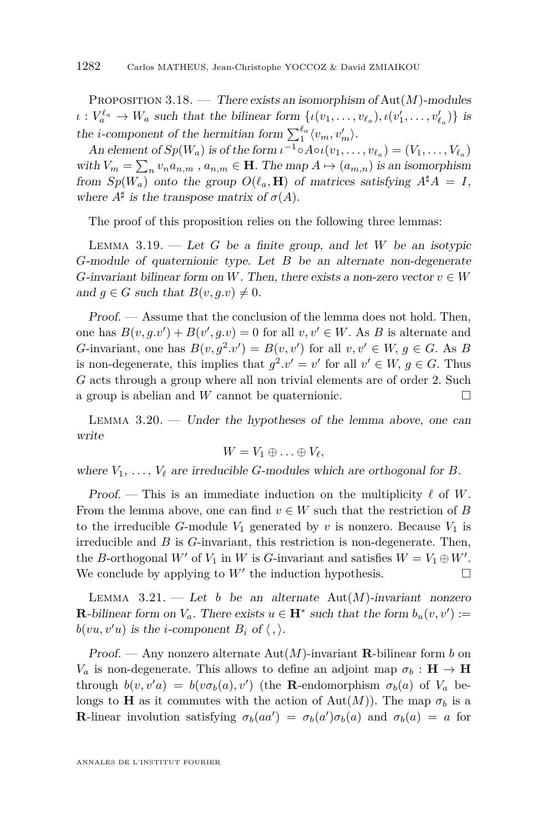<span id="page-4-0"></span>Proposition 3.18. — There exists an isomorphism of Aut(*M*)-modules  $\iota: V_a^{\ell_a} \to W_a$  such that the bilinear form  $\{\iota(v_1, \ldots, v_{\ell_a}), \iota(v'_1, \ldots, v'_{\ell_a})\}$  is the *i*-component of the hermitian form  $\sum_{1}^{\ell_a} \langle v_m, v'_m \rangle$ .

An element of  $Sp(W_a)$  is of the form  $\iota^{-1} \circ A \circ \iota(v_1, \ldots, v_{\ell_a}) = (V_1, \ldots, V_{\ell_a})$ with  $V_m = \sum_n v_n a_{n,m}$ ,  $a_{n,m} \in \mathbf{H}$ . The map  $A \mapsto (a_{m,n})$  is an isomorphism from  $Sp(W_a)$  onto the group  $O(\ell_a, \mathbf{H})$  of matrices satisfying  $A^{\sharp}A = I$ , where  $A^{\sharp}$  is the transpose matrix of  $\sigma(A)$ .

The proof of this proposition relies on the following three lemmas:

Lemma 3.19. — Let *G* be a finite group, and let *W* be an isotypic *G*-module of quaternionic type. Let *B* be an alternate non-degenerate *G*-invariant bilinear form on *W*. Then, there exists a non-zero vector  $v \in W$ and  $g \in G$  such that  $B(v, g.v) \neq 0$ .

Proof. — Assume that the conclusion of the lemma does not hold. Then, one has  $B(v, g.v') + B(v', g.v) = 0$  for all  $v, v' \in W$ . As *B* is alternate and *G*-invariant, one has  $B(v, g^2.v') = B(v, v')$  for all  $v, v' \in W$ ,  $g \in G$ . As *B* is non-degenerate, this implies that  $g^2 \cdot v' = v'$  for all  $v' \in W$ ,  $g \in G$ . Thus *G* acts through a group where all non trivial elements are of order 2. Such a group is abelian and *W* cannot be quaternionic.

<span id="page-4-1"></span>LEMMA  $3.20.$  — Under the hypotheses of the lemma above, one can write

$$
W=V_1\oplus\ldots\oplus V_\ell,
$$

where  $V_1, \ldots, V_\ell$  are irreducible *G*-modules which are orthogonal for *B*.

Proof. — This is an immediate induction on the multiplicity  $\ell$  of *W*. From the lemma above, one can find  $v \in W$  such that the restriction of *B* to the irreducible *G*-module  $V_1$  generated by *v* is nonzero. Because  $V_1$  is irreducible and *B* is *G*-invariant, this restriction is non-degenerate. Then, the *B*-orthogonal *W'* of *V*<sub>1</sub> in *W* is *G*-invariant and satisfies  $W = V_1 \oplus W'$ . We conclude by applying to  $W'$  the induction hypothesis.  $\Box$ 

<span id="page-4-2"></span>LEMMA  $3.21.$  — Let *b* be an alternate Aut $(M)$ -invariant nonzero **R**-bilinear form on  $V_a$ . There exists  $u \in \mathbf{H}^*$  such that the form  $b_u(v, v') :=$  $b(vu, v'u)$  *is the <i>i*-component  $B_i$  of  $\langle , \rangle$ .

Proof. — Any nonzero alternate Aut(*M*)-invariant **R**-bilinear form *b* on *V*<sup>*a*</sup> is non-degenerate. This allows to define an adjoint map  $\sigma_b$  : **H**  $\rightarrow$  **H** through  $b(v, v'a) = b(v\sigma_b(a), v')$  (the **R**-endomorphism  $\sigma_b(a)$  of  $V_a$  belongs to **H** as it commutes with the action of  $Aut(M)$ . The map  $\sigma_b$  is a **R**-linear involution satisfying  $\sigma_b(aa') = \sigma_b(a')\sigma_b(a)$  and  $\sigma_b(a) = a$  for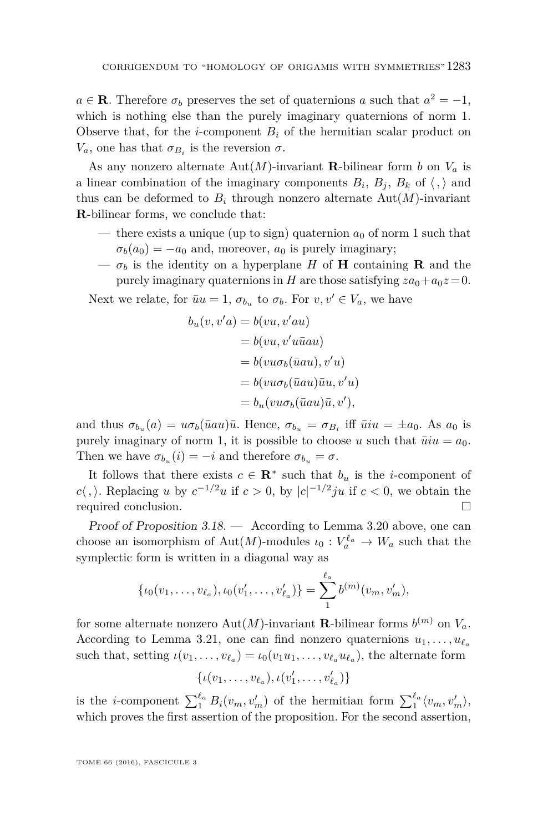$a \in \mathbf{R}$ . Therefore  $\sigma_b$  preserves the set of quaternions *a* such that  $a^2 = -1$ , which is nothing else than the purely imaginary quaternions of norm 1. Observe that, for the *i*-component  $B_i$  of the hermitian scalar product on *V*<sup>*a*</sup>, one has that  $σ_{B_i}$  is the reversion  $σ$ .

As any nonzero alternate  $Aut(M)$ -invariant **R**-bilinear form *b* on  $V_a$  is a linear combination of the imaginary components  $B_i$ ,  $B_j$ ,  $B_k$  of  $\langle , \rangle$  and thus can be deformed to  $B_i$  through nonzero alternate  $Aut(M)$ -invariant **R**-bilinear forms, we conclude that:

- there exists a unique (up to sign) quaternion  $a_0$  of norm 1 such that  $\sigma_b(a_0) = -a_0$  and, moreover,  $a_0$  is purely imaginary;
- $-\sigma_b$  is the identity on a hyperplane *H* of **H** containing **R** and the purely imaginary quaternions in *H* are those satisfying  $za_0 + a_0z = 0$ .

Next we relate, for  $\bar{u}u = 1$ ,  $\sigma_{b_u}$  to  $\sigma_b$ . For  $v, v' \in V_a$ , we have

$$
b_u(v, v'a) = b(vu, v'au)
$$
  
=  $b(vu, v'u\bar{u}au)$   
=  $b(vu\sigma_b(\bar{u}au), v'u)$   
=  $b(vu\sigma_b(\bar{u}au)\bar{u}u, v'u)$   
=  $b_u(vu\sigma_b(\bar{u}au)\bar{u}, v')$ ,

and thus  $\sigma_{b_u}(a) = u\sigma_b(\bar{u}au)\bar{u}$ . Hence,  $\sigma_{b_u} = \sigma_{B_i}$  iff  $\bar{u}iu = \pm a_0$ . As  $a_0$  is purely imaginary of norm 1, it is possible to choose *u* such that  $\overline{u}i\overline{u} = a_0$ . Then we have  $\sigma_{b_u}(i) = -i$  and therefore  $\sigma_{b_u} = \sigma$ .

It follows that there exists  $c \in \mathbb{R}^*$  such that  $b_u$  is the *i*-component of *c* $\langle$ ,  $\rangle$ . Replacing *u* by  $c^{-1/2}u$  if  $c > 0$ , by  $|c|^{-1/2}ju$  if  $c < 0$ , we obtain the required conclusion.

Proof of Proposition [3.18.](#page-4-0) — According to Lemma [3.20](#page-4-1) above, one can choose an isomorphism of  $\text{Aut}(M)$ -modules  $\iota_0: V_a^{\ell_a} \to W_a$  such that the symplectic form is written in a diagonal way as

$$
\{\iota_0(v_1,\ldots,v_{\ell_a}),\iota_0(v'_1,\ldots,v'_{\ell_a})\}=\sum_1^{\ell_a}b^{(m)}(v_m,v'_m),
$$

for some alternate nonzero Aut $(M)$ -invariant **R**-bilinear forms  $b^{(m)}$  on  $V_a$ . According to Lemma [3.21,](#page-4-2) one can find nonzero quaternions  $u_1, \ldots, u_{\ell_a}$ such that, setting  $\iota(v_1, \ldots, v_{\ell_a}) = \iota_0(v_1u_1, \ldots, v_{\ell_a}u_{\ell_a}),$  the alternate form

$$
\{\iota(v_1,\ldots,v_{\ell_a}),\iota(v'_1,\ldots,v'_{\ell_a})\}
$$

is the *i*-component  $\sum_{1}^{\ell_a} B_i(v_m, v'_m)$  of the hermitian form  $\sum_{1}^{\ell_a} \langle v_m, v'_m \rangle$ , which proves the first assertion of the proposition. For the second assertion,

TOME 66 (2016), FASCICULE 3